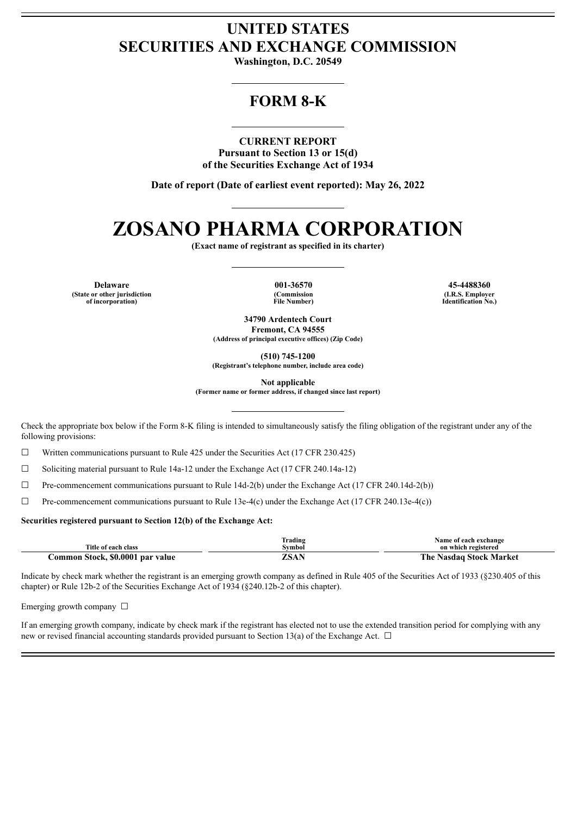# **UNITED STATES SECURITIES AND EXCHANGE COMMISSION**

**Washington, D.C. 20549**

# **FORM 8-K**

## **CURRENT REPORT**

**Pursuant to Section 13 or 15(d) of the Securities Exchange Act of 1934**

**Date of report (Date of earliest event reported): May 26, 2022**

# **ZOSANO PHARMA CORPORATION**

**(Exact name of registrant as specified in its charter)**

**Delaware 001-36570 45-4488360 (State or other jurisdiction of incorporation)**

**(Commission File Number)**

**(I.R.S. Employer Identification No.)**

**34790 Ardentech Court Fremont, CA 94555 (Address of principal executive offices) (Zip Code)**

**(510) 745-1200**

**(Registrant's telephone number, include area code)**

**Not applicable**

**(Former name or former address, if changed since last report)**

Check the appropriate box below if the Form 8-K filing is intended to simultaneously satisfy the filing obligation of the registrant under any of the following provisions:

☐ Written communications pursuant to Rule 425 under the Securities Act (17 CFR 230.425)

☐ Soliciting material pursuant to Rule 14a-12 under the Exchange Act (17 CFR 240.14a-12)

☐ Pre-commencement communications pursuant to Rule 14d-2(b) under the Exchange Act (17 CFR 240.14d-2(b))

☐ Pre-commencement communications pursuant to Rule 13e-4(c) under the Exchange Act (17 CFR 240.13e-4(c))

#### **Securities registered pursuant to Section 12(b) of the Exchange Act:**

|                                  | Trading | Name of each exchange          |
|----------------------------------|---------|--------------------------------|
| Title of each class              | Svmbol  | on which registered            |
| Common Stock, \$0.0001 par value | ZSAN    | <b>The Nasdaq Stock Market</b> |

Indicate by check mark whether the registrant is an emerging growth company as defined in Rule 405 of the Securities Act of 1933 (§230.405 of this chapter) or Rule 12b-2 of the Securities Exchange Act of 1934 (§240.12b-2 of this chapter).

Emerging growth company  $\Box$ 

If an emerging growth company, indicate by check mark if the registrant has elected not to use the extended transition period for complying with any new or revised financial accounting standards provided pursuant to Section 13(a) of the Exchange Act.  $\Box$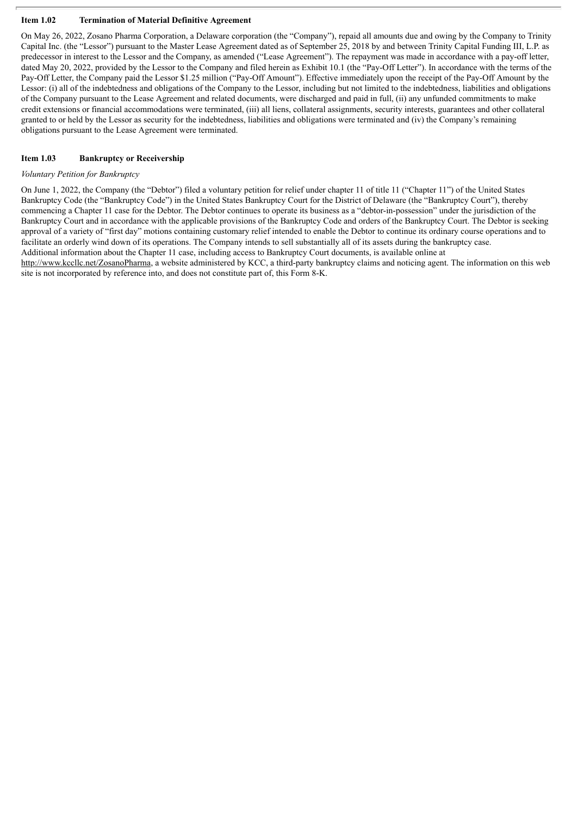### **Item 1.02 Termination of Material Definitive Agreement**

On May 26, 2022, Zosano Pharma Corporation, a Delaware corporation (the "Company"), repaid all amounts due and owing by the Company to Trinity Capital Inc. (the "Lessor") pursuant to the Master Lease Agreement dated as of September 25, 2018 by and between Trinity Capital Funding III, L.P. as predecessor in interest to the Lessor and the Company, as amended ("Lease Agreement"). The repayment was made in accordance with a pay-off letter, dated May 20, 2022, provided by the Lessor to the Company and filed herein as Exhibit 10.1 (the "Pay-Off Letter"). In accordance with the terms of the Pay-Off Letter, the Company paid the Lessor \$1.25 million ("Pay-Off Amount"). Effective immediately upon the receipt of the Pay-Off Amount by the Lessor: (i) all of the indebtedness and obligations of the Company to the Lessor, including but not limited to the indebtedness, liabilities and obligations of the Company pursuant to the Lease Agreement and related documents, were discharged and paid in full, (ii) any unfunded commitments to make credit extensions or financial accommodations were terminated, (iii) all liens, collateral assignments, security interests, guarantees and other collateral granted to or held by the Lessor as security for the indebtedness, liabilities and obligations were terminated and (iv) the Company's remaining obligations pursuant to the Lease Agreement were terminated.

## **Item 1.03 Bankruptcy or Receivership**

#### *Voluntary Petition for Bankruptcy*

On June 1, 2022, the Company (the "Debtor") filed a voluntary petition for relief under chapter 11 of title 11 ("Chapter 11") of the United States Bankruptcy Code (the "Bankruptcy Code") in the United States Bankruptcy Court for the District of Delaware (the "Bankruptcy Court"), thereby commencing a Chapter 11 case for the Debtor. The Debtor continues to operate its business as a "debtor-in-possession" under the jurisdiction of the Bankruptcy Court and in accordance with the applicable provisions of the Bankruptcy Code and orders of the Bankruptcy Court. The Debtor is seeking approval of a variety of "first day" motions containing customary relief intended to enable the Debtor to continue its ordinary course operations and to facilitate an orderly wind down of its operations. The Company intends to sell substantially all of its assets during the bankruptcy case. Additional information about the Chapter 11 case, including access to Bankruptcy Court documents, is available online at

http://www.kccllc.net/ZosanoPharma, a website administered by KCC, a third-party bankruptcy claims and noticing agent. The information on this web site is not incorporated by reference into, and does not constitute part of, this Form 8-K.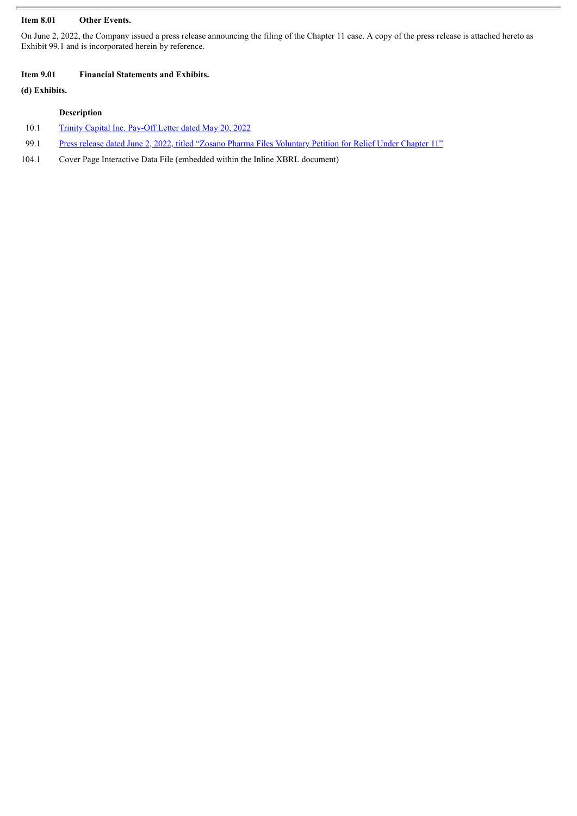# **Item 8.01 Other Events.**

On June 2, 2022, the Company issued a press release announcing the filing of the Chapter 11 case. A copy of the press release is attached hereto as Exhibit 99.1 and is incorporated herein by reference.

#### **Item 9.01 Financial Statements and Exhibits.**

# **(d) Exhibits.**

# **Description**

- 10.1 Trinity Capital Inc. [Pay-Off](#page-4-0) Letter dated May 20, 2022
- 99.1 Press release dated June 2, 2022, titled "Zosano Pharma Files [Voluntary](#page-7-0) Petition for Relief Under Chapter 11"
- 104.1 Cover Page Interactive Data File (embedded within the Inline XBRL document)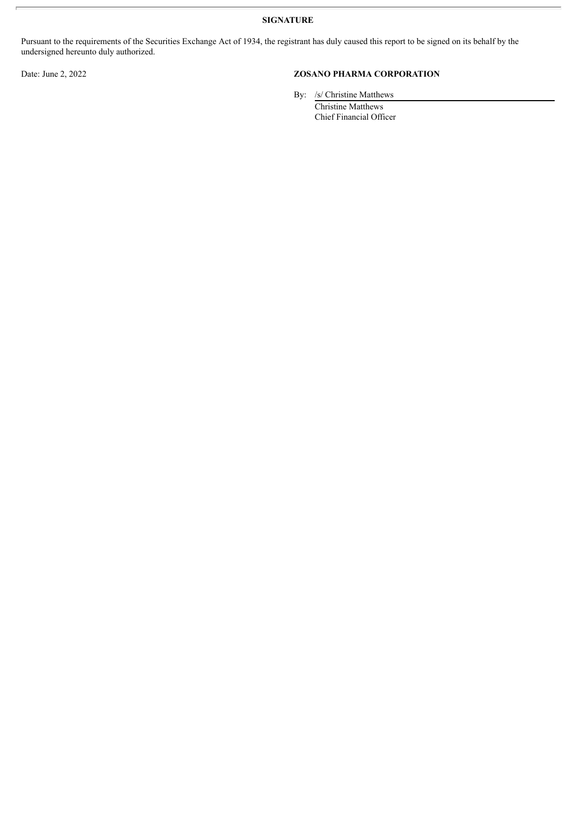**SIGNATURE**

Pursuant to the requirements of the Securities Exchange Act of 1934, the registrant has duly caused this report to be signed on its behalf by the undersigned hereunto duly authorized.

# Date: June 2, 2022 **ZOSANO PHARMA CORPORATION**

By: /s/ Christine Matthews

Christine Matthews Chief Financial Officer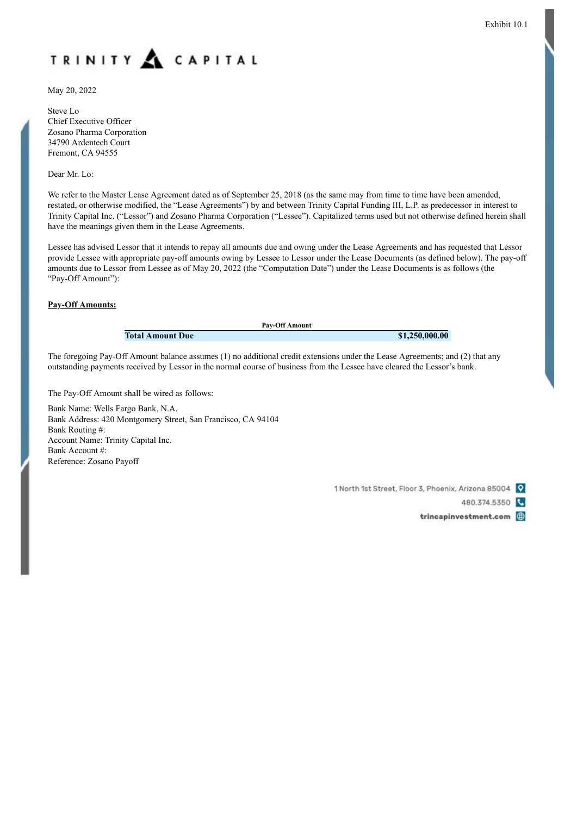<span id="page-4-0"></span>

May 20, 2022

Steve Lo Chief Executive Officer Zosano Pharma Corporation 34790 Ardentech Court Fremont, CA 94555

Dear Mr. Lo:

We refer to the Master Lease Agreement dated as of September 25, 2018 (as the same may from time to time have been amended, restated, or otherwise modified, the "Lease Agreements") by and between Trinity Capital Funding III, L.P. as predecessor in interest to Trinity Capital Inc. ("Lessor") and Zosano Pharma Corporation ("Lessee"). Capitalized terms used but not otherwise defined herein shall have the meanings given them in the Lease Agreements.

Lessee has advised Lessor that it intends to repay all amounts due and owing under the Lease Agreements and has requested that Lessor provide Lessee with appropriate pay-off amounts owing by Lessee to Lessor under the Lease Documents (as defined below). The pay-off amounts due to Lessor from Lessee as of May 20, 2022 (the "Computation Date") under the Lease Documents is as follows (the "Pay-Off Amount"):

#### **Pay-Off Amounts:**

**Pay-Off Amount Total Amount Due \$1,250,000.00**

The foregoing Pay-Off Amount balance assumes (1) no additional credit extensions under the Lease Agreements; and (2) that any outstanding payments received by Lessor in the normal course of business from the Lessee have cleared the Lessor's bank.

The Pay-Off Amount shall be wired as follows:

Bank Name: Wells Fargo Bank, N.A. Bank Address: 420 Montgomery Street, San Francisco, CA 94104 Bank Routing #: Account Name: Trinity Capital Inc. Bank Account #: Reference: Zosano Payoff

1 North 1st Street, Floor 3, Phoenix, Arizona 85004 Q

480.374.5350

trincapinvestment.com (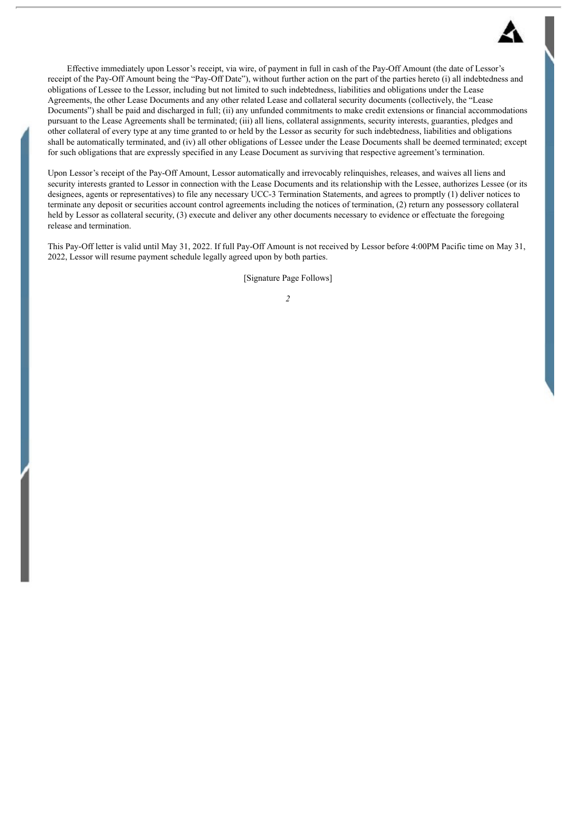

Effective immediately upon Lessor's receipt, via wire, of payment in full in cash of the Pay-Off Amount (the date of Lessor's receipt of the Pay-Off Amount being the "Pay-Off Date"), without further action on the part of the parties hereto (i) all indebtedness and obligations of Lessee to the Lessor, including but not limited to such indebtedness, liabilities and obligations under the Lease Agreements, the other Lease Documents and any other related Lease and collateral security documents (collectively, the "Lease Documents") shall be paid and discharged in full; (ii) any unfunded commitments to make credit extensions or financial accommodations pursuant to the Lease Agreements shall be terminated; (iii) all liens, collateral assignments, security interests, guaranties, pledges and other collateral of every type at any time granted to or held by the Lessor as security for such indebtedness, liabilities and obligations shall be automatically terminated, and (iv) all other obligations of Lessee under the Lease Documents shall be deemed terminated; except for such obligations that are expressly specified in any Lease Document as surviving that respective agreement's termination.

Upon Lessor's receipt of the Pay-Off Amount, Lessor automatically and irrevocably relinquishes, releases, and waives all liens and security interests granted to Lessor in connection with the Lease Documents and its relationship with the Lessee, authorizes Lessee (or its designees, agents or representatives) to file any necessary UCC-3 Termination Statements, and agrees to promptly (1) deliver notices to terminate any deposit or securities account control agreements including the notices of termination, (2) return any possessory collateral held by Lessor as collateral security, (3) execute and deliver any other documents necessary to evidence or effectuate the foregoing release and termination.

This Pay-Off letter is valid until May 31, 2022. If full Pay-Off Amount is not received by Lessor before 4:00PM Pacific time on May 31, 2022, Lessor will resume payment schedule legally agreed upon by both parties.

[Signature Page Follows]

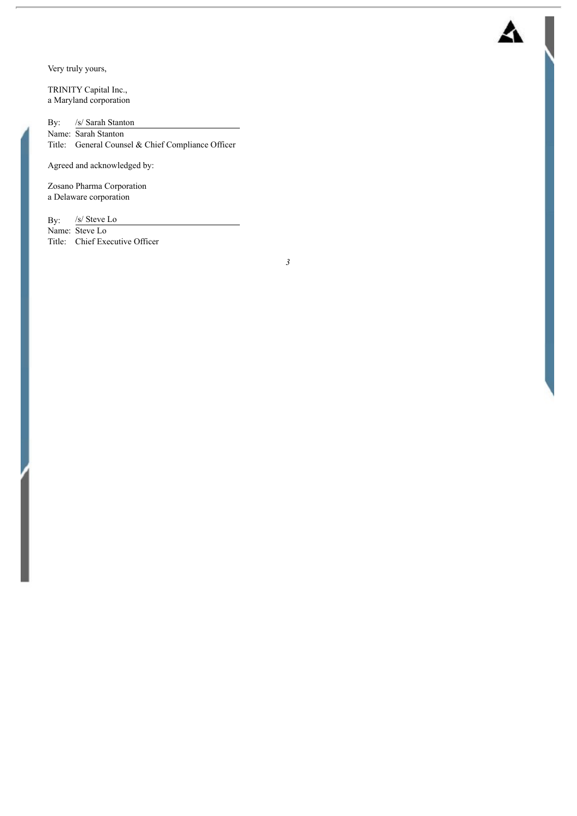Very truly yours,

TRINITY Capital Inc., a Maryland corporation

By: /s/ Sarah Stanton Name: Sarah Stanton Title: General Counsel & Chief Compliance Officer

Agreed and acknowledged by:

Zosano Pharma Corporation a Delaware corporation

By: /s/ Steve Lo Name: Steve Lo Title: Chief Executive Officer

*3*